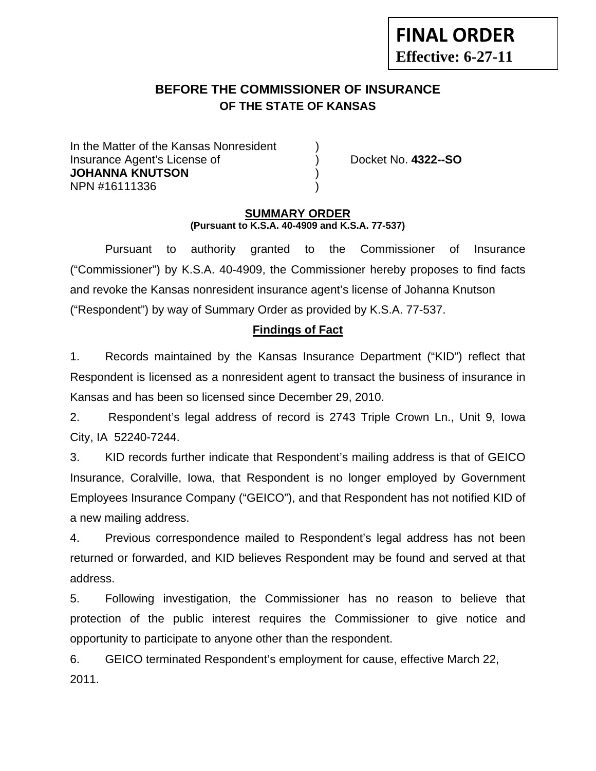# **BEFORE THE COMMISSIONER OF INSURANCE OF THE STATE OF KANSAS**

In the Matter of the Kansas Nonresident Insurance Agent's License of ) Docket No. **4322--SO JOHANNA KNUTSON** ) NPN #16111336 )

**FINAL ORDER**

**Effective: 6-27-11** 

#### **SUMMARY ORDER (Pursuant to K.S.A. 40-4909 and K.S.A. 77-537)**

 Pursuant to authority granted to the Commissioner of Insurance ("Commissioner") by K.S.A. 40-4909, the Commissioner hereby proposes to find facts and revoke the Kansas nonresident insurance agent's license of Johanna Knutson ("Respondent") by way of Summary Order as provided by K.S.A. 77-537.

# **Findings of Fact**

1. Records maintained by the Kansas Insurance Department ("KID") reflect that Respondent is licensed as a nonresident agent to transact the business of insurance in Kansas and has been so licensed since December 29, 2010.

2. Respondent's legal address of record is 2743 Triple Crown Ln., Unit 9, Iowa City, IA 52240-7244.

3. KID records further indicate that Respondent's mailing address is that of GEICO Insurance, Coralville, Iowa, that Respondent is no longer employed by Government Employees Insurance Company ("GEICO"), and that Respondent has not notified KID of a new mailing address.

4. Previous correspondence mailed to Respondent's legal address has not been returned or forwarded, and KID believes Respondent may be found and served at that address.

5. Following investigation, the Commissioner has no reason to believe that protection of the public interest requires the Commissioner to give notice and opportunity to participate to anyone other than the respondent.

6. GEICO terminated Respondent's employment for cause, effective March 22, 2011.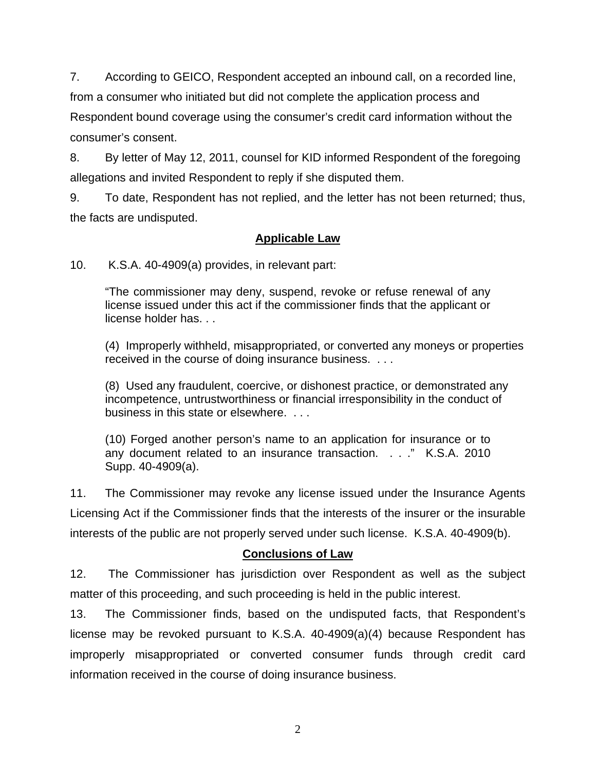7. According to GEICO, Respondent accepted an inbound call, on a recorded line,

from a consumer who initiated but did not complete the application process and

Respondent bound coverage using the consumer's credit card information without the consumer's consent.

8. By letter of May 12, 2011, counsel for KID informed Respondent of the foregoing allegations and invited Respondent to reply if she disputed them.

9. To date, Respondent has not replied, and the letter has not been returned; thus, the facts are undisputed.

# **Applicable Law**

10. K.S.A. 40-4909(a) provides, in relevant part:

"The commissioner may deny, suspend, revoke or refuse renewal of any license issued under this act if the commissioner finds that the applicant or license holder has. . .

(4) Improperly withheld, misappropriated, or converted any moneys or properties received in the course of doing insurance business. . . .

(8) Used any fraudulent, coercive, or dishonest practice, or demonstrated any incompetence, untrustworthiness or financial irresponsibility in the conduct of business in this state or elsewhere. . . .

(10) Forged another person's name to an application for insurance or to any document related to an insurance transaction. . . ." K.S.A. 2010 Supp. 40-4909(a).

11. The Commissioner may revoke any license issued under the Insurance Agents Licensing Act if the Commissioner finds that the interests of the insurer or the insurable interests of the public are not properly served under such license. K.S.A. 40-4909(b).

# **Conclusions of Law**

12. The Commissioner has jurisdiction over Respondent as well as the subject matter of this proceeding, and such proceeding is held in the public interest.

13. The Commissioner finds, based on the undisputed facts, that Respondent's license may be revoked pursuant to K.S.A. 40-4909(a)(4) because Respondent has improperly misappropriated or converted consumer funds through credit card information received in the course of doing insurance business.

2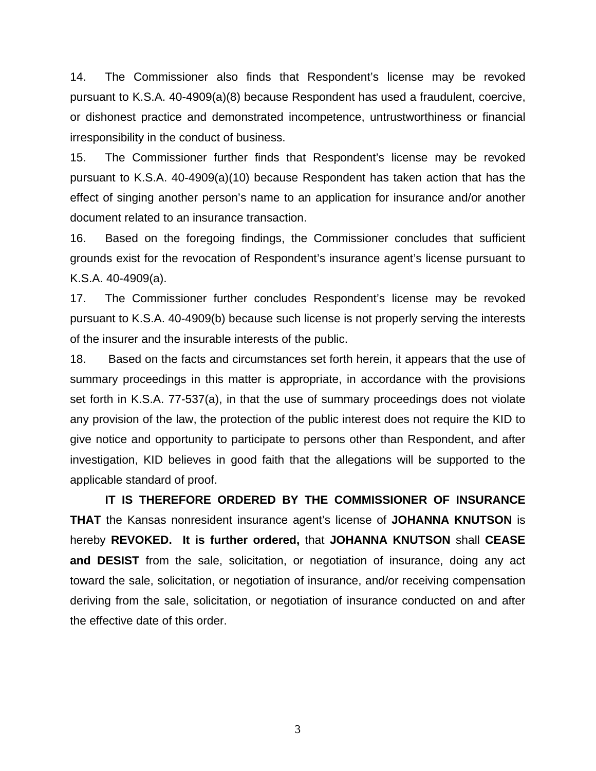14. The Commissioner also finds that Respondent's license may be revoked pursuant to K.S.A. 40-4909(a)(8) because Respondent has used a fraudulent, coercive, or dishonest practice and demonstrated incompetence, untrustworthiness or financial irresponsibility in the conduct of business.

15. The Commissioner further finds that Respondent's license may be revoked pursuant to K.S.A. 40-4909(a)(10) because Respondent has taken action that has the effect of singing another person's name to an application for insurance and/or another document related to an insurance transaction.

16. Based on the foregoing findings, the Commissioner concludes that sufficient grounds exist for the revocation of Respondent's insurance agent's license pursuant to K.S.A. 40-4909(a).

17. The Commissioner further concludes Respondent's license may be revoked pursuant to K.S.A. 40-4909(b) because such license is not properly serving the interests of the insurer and the insurable interests of the public.

18. Based on the facts and circumstances set forth herein, it appears that the use of summary proceedings in this matter is appropriate, in accordance with the provisions set forth in K.S.A. 77-537(a), in that the use of summary proceedings does not violate any provision of the law, the protection of the public interest does not require the KID to give notice and opportunity to participate to persons other than Respondent, and after investigation, KID believes in good faith that the allegations will be supported to the applicable standard of proof.

 **IT IS THEREFORE ORDERED BY THE COMMISSIONER OF INSURANCE THAT** the Kansas nonresident insurance agent's license of **JOHANNA KNUTSON** is hereby **REVOKED. It is further ordered,** that **JOHANNA KNUTSON** shall **CEASE and DESIST** from the sale, solicitation, or negotiation of insurance, doing any act toward the sale, solicitation, or negotiation of insurance, and/or receiving compensation deriving from the sale, solicitation, or negotiation of insurance conducted on and after the effective date of this order.

3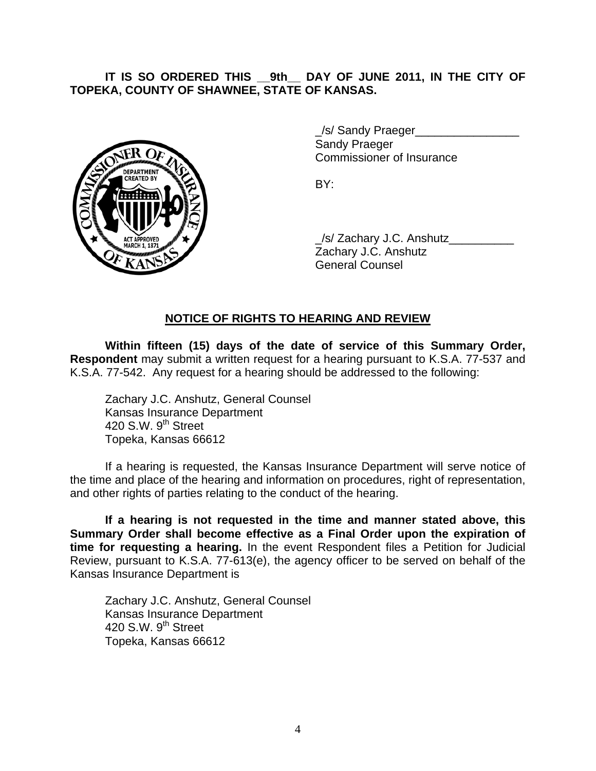### **IT IS SO ORDERED THIS \_\_9th\_\_ DAY OF JUNE 2011, IN THE CITY OF TOPEKA, COUNTY OF SHAWNEE, STATE OF KANSAS.**



/s/ Sandy Praeger Sandy Praeger Commissioner of Insurance

 \_/s/ Zachary J.C. Anshutz\_\_\_\_\_\_\_\_\_\_ Zachary J.C. Anshutz General Counsel

### **NOTICE OF RIGHTS TO HEARING AND REVIEW**

**Within fifteen (15) days of the date of service of this Summary Order, Respondent** may submit a written request for a hearing pursuant to K.S.A. 77-537 and K.S.A. 77-542. Any request for a hearing should be addressed to the following:

 Zachary J.C. Anshutz, General Counsel Kansas Insurance Department 420 S.W.  $9<sup>th</sup>$  Street Topeka, Kansas 66612

If a hearing is requested, the Kansas Insurance Department will serve notice of the time and place of the hearing and information on procedures, right of representation, and other rights of parties relating to the conduct of the hearing.

**If a hearing is not requested in the time and manner stated above, this Summary Order shall become effective as a Final Order upon the expiration of time for requesting a hearing.** In the event Respondent files a Petition for Judicial Review, pursuant to K.S.A. 77-613(e), the agency officer to be served on behalf of the Kansas Insurance Department is

 Zachary J.C. Anshutz, General Counsel Kansas Insurance Department 420 S.W. 9<sup>th</sup> Street Topeka, Kansas 66612